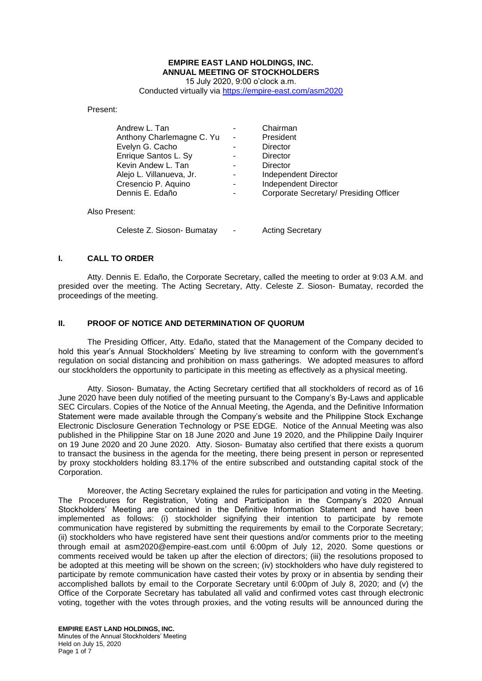# **EMPIRE EAST LAND HOLDINGS, INC. ANNUAL MEETING OF STOCKHOLDERS**

15 July 2020, 9:00 o'clock a.m. Conducted virtually via<https://empire-east.com/asm2020>

Present:

| Andrew L. Tan             |                | Chairman                               |
|---------------------------|----------------|----------------------------------------|
| Anthony Charlemagne C. Yu | $\blacksquare$ | President                              |
| Evelyn G. Cacho           |                | Director                               |
| Enrique Santos L. Sy      |                | Director                               |
| Kevin Andew L. Tan        |                | Director                               |
| Alejo L. Villanueva, Jr.  | $\blacksquare$ | Independent Director                   |
| Cresencio P. Aquino       |                | Independent Director                   |
| Dennis E. Edaño           |                | Corporate Secretary/ Presiding Officer |
| Also Present:             |                |                                        |

Celeste Z. Sioson- Bumatay - Acting Secretary

#### **I. CALL TO ORDER**

Atty. Dennis E. Edaño, the Corporate Secretary, called the meeting to order at 9:03 A.M. and presided over the meeting. The Acting Secretary, Atty. Celeste Z. Sioson- Bumatay, recorded the proceedings of the meeting.

## **II. PROOF OF NOTICE AND DETERMINATION OF QUORUM**

The Presiding Officer, Atty. Edaño, stated that the Management of the Company decided to hold this year's Annual Stockholders' Meeting by live streaming to conform with the government's regulation on social distancing and prohibition on mass gatherings. We adopted measures to afford our stockholders the opportunity to participate in this meeting as effectively as a physical meeting.

 Atty. Sioson- Bumatay, the Acting Secretary certified that all stockholders of record as of 16 June 2020 have been duly notified of the meeting pursuant to the Company's By-Laws and applicable SEC Circulars. Copies of the Notice of the Annual Meeting, the Agenda, and the Definitive Information Statement were made available through the Company's website and the Philippine Stock Exchange Electronic Disclosure Generation Technology or PSE EDGE. Notice of the Annual Meeting was also published in the Philippine Star on 18 June 2020 and June 19 2020, and the Philippine Daily Inquirer on 19 June 2020 and 20 June 2020. Atty. Sioson- Bumatay also certified that there exists a quorum to transact the business in the agenda for the meeting, there being present in person or represented by proxy stockholders holding 83.17% of the entire subscribed and outstanding capital stock of the Corporation.

Moreover, the Acting Secretary explained the rules for participation and voting in the Meeting. The Procedures for Registration, Voting and Participation in the Company's 2020 Annual Stockholders' Meeting are contained in the Definitive Information Statement and have been implemented as follows: (i) stockholder signifying their intention to participate by remote communication have registered by submitting the requirements by email to the Corporate Secretary; (ii) stockholders who have registered have sent their questions and/or comments prior to the meeting through email at asm2020@empire-east.com until 6:00pm of July 12, 2020. Some questions or comments received would be taken up after the election of directors; (iii) the resolutions proposed to be adopted at this meeting will be shown on the screen; (iv) stockholders who have duly registered to participate by remote communication have casted their votes by proxy or in absentia by sending their accomplished ballots by email to the Corporate Secretary until 6:00pm of July 8, 2020; and (v) the Office of the Corporate Secretary has tabulated all valid and confirmed votes cast through electronic voting, together with the votes through proxies, and the voting results will be announced during the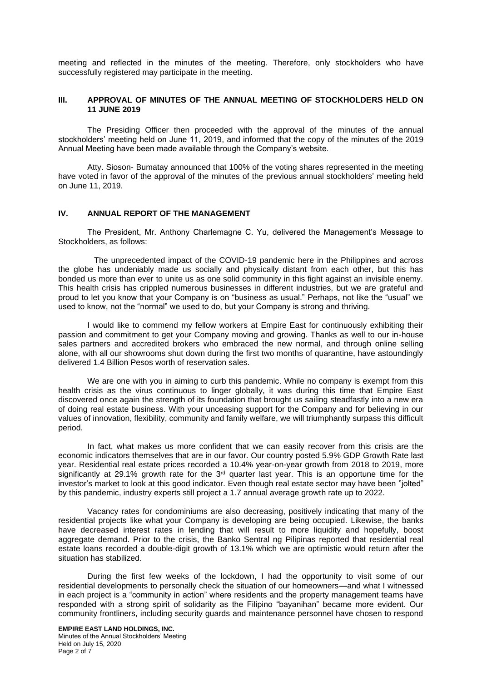meeting and reflected in the minutes of the meeting. Therefore, only stockholders who have successfully registered may participate in the meeting.

#### **III. APPROVAL OF MINUTES OF THE ANNUAL MEETING OF STOCKHOLDERS HELD ON 11 JUNE 2019**

The Presiding Officer then proceeded with the approval of the minutes of the annual stockholders' meeting held on June 11, 2019, and informed that the copy of the minutes of the 2019 Annual Meeting have been made available through the Company's website.

Atty. Sioson- Bumatay announced that 100% of the voting shares represented in the meeting have voted in favor of the approval of the minutes of the previous annual stockholders' meeting held on June 11, 2019.

#### **IV. ANNUAL REPORT OF THE MANAGEMENT**

The President, Mr. Anthony Charlemagne C. Yu, delivered the Management's Message to Stockholders, as follows:

 The unprecedented impact of the COVID-19 pandemic here in the Philippines and across the globe has undeniably made us socially and physically distant from each other, but this has bonded us more than ever to unite us as one solid community in this fight against an invisible enemy. This health crisis has crippled numerous businesses in different industries, but we are grateful and proud to let you know that your Company is on "business as usual." Perhaps, not like the "usual" we used to know, not the "normal" we used to do, but your Company is strong and thriving.

I would like to commend my fellow workers at Empire East for continuously exhibiting their passion and commitment to get your Company moving and growing. Thanks as well to our in-house sales partners and accredited brokers who embraced the new normal, and through online selling alone, with all our showrooms shut down during the first two months of quarantine, have astoundingly delivered 1.4 Billion Pesos worth of reservation sales.

We are one with you in aiming to curb this pandemic. While no company is exempt from this health crisis as the virus continuous to linger globally, it was during this time that Empire East discovered once again the strength of its foundation that brought us sailing steadfastly into a new era of doing real estate business. With your unceasing support for the Company and for believing in our values of innovation, flexibility, community and family welfare, we will triumphantly surpass this difficult period.

In fact, what makes us more confident that we can easily recover from this crisis are the economic indicators themselves that are in our favor. Our country posted 5.9% GDP Growth Rate last year. Residential real estate prices recorded a 10.4% year-on-year growth from 2018 to 2019, more significantly at 29.1% growth rate for the  $3<sup>rd</sup>$  quarter last year. This is an opportune time for the investor's market to look at this good indicator. Even though real estate sector may have been "jolted" by this pandemic, industry experts still project a 1.7 annual average growth rate up to 2022.

Vacancy rates for condominiums are also decreasing, positively indicating that many of the residential projects like what your Company is developing are being occupied. Likewise, the banks have decreased interest rates in lending that will result to more liquidity and hopefully, boost aggregate demand. Prior to the crisis, the Banko Sentral ng Pilipinas reported that residential real estate loans recorded a double-digit growth of 13.1% which we are optimistic would return after the situation has stabilized.

During the first few weeks of the lockdown, I had the opportunity to visit some of our residential developments to personally check the situation of our homeowners—and what I witnessed in each project is a "community in action" where residents and the property management teams have responded with a strong spirit of solidarity as the Filipino "bayanihan" became more evident. Our community frontliners, including security guards and maintenance personnel have chosen to respond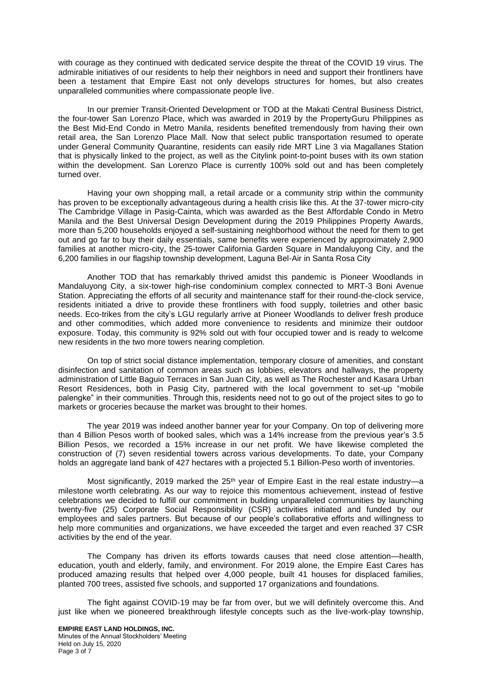with courage as they continued with dedicated service despite the threat of the COVID 19 virus. The admirable initiatives of our residents to help their neighbors in need and support their frontliners have been a testament that Empire East not only develops structures for homes, but also creates unparalleled communities where compassionate people live.

In our premier Transit-Oriented Development or TOD at the Makati Central Business District, the four-tower San Lorenzo Place, which was awarded in 2019 by the PropertyGuru Philippines as the Best Mid-End Condo in Metro Manila, residents benefited tremendously from having their own retail area, the San Lorenzo Place Mall. Now that select public transportation resumed to operate under General Community Quarantine, residents can easily ride MRT Line 3 via Magallanes Station that is physically linked to the project, as well as the Citylink point-to-point buses with its own station within the development. San Lorenzo Place is currently 100% sold out and has been completely turned over.

Having your own shopping mall, a retail arcade or a community strip within the community has proven to be exceptionally advantageous during a health crisis like this. At the 37-tower micro-city The Cambridge Village in Pasig-Cainta, which was awarded as the Best Affordable Condo in Metro Manila and the Best Universal Design Development during the 2019 Philippines Property Awards, more than 5,200 households enjoyed a self-sustaining neighborhood without the need for them to get out and go far to buy their daily essentials, same benefits were experienced by approximately 2,900 families at another micro-city, the 25-tower California Garden Square in Mandaluyong City, and the 6,200 families in our flagship township development, Laguna Bel-Air in Santa Rosa City

Another TOD that has remarkably thrived amidst this pandemic is Pioneer Woodlands in Mandaluyong City, a six-tower high-rise condominium complex connected to MRT-3 Boni Avenue Station. Appreciating the efforts of all security and maintenance staff for their round-the-clock service, residents initiated a drive to provide these frontliners with food supply, toiletries and other basic needs. Eco-trikes from the city's LGU regularly arrive at Pioneer Woodlands to deliver fresh produce and other commodities, which added more convenience to residents and minimize their outdoor exposure. Today, this community is 92% sold out with four occupied tower and is ready to welcome new residents in the two more towers nearing completion.

On top of strict social distance implementation, temporary closure of amenities, and constant disinfection and sanitation of common areas such as lobbies, elevators and hallways, the property administration of Little Baguio Terraces in San Juan City, as well as The Rochester and Kasara Urban Resort Residences, both in Pasig City, partnered with the local government to set-up "mobile palengke" in their communities. Through this, residents need not to go out of the project sites to go to markets or groceries because the market was brought to their homes.

The year 2019 was indeed another banner year for your Company. On top of delivering more than 4 Billion Pesos worth of booked sales, which was a 14% increase from the previous year's 3.5 Billion Pesos, we recorded a 15% increase in our net profit. We have likewise completed the construction of (7) seven residential towers across various developments. To date, your Company holds an aggregate land bank of 427 hectares with a projected 5.1 Billion-Peso worth of inventories.

Most significantly, 2019 marked the 25<sup>th</sup> year of Empire East in the real estate industry-a milestone worth celebrating. As our way to rejoice this momentous achievement, instead of festive celebrations we decided to fulfill our commitment in building unparalleled communities by launching twenty-five (25) Corporate Social Responsibility (CSR) activities initiated and funded by our employees and sales partners. But because of our people's collaborative efforts and willingness to help more communities and organizations, we have exceeded the target and even reached 37 CSR activities by the end of the year.

The Company has driven its efforts towards causes that need close attention—health, education, youth and elderly, family, and environment. For 2019 alone, the Empire East Cares has produced amazing results that helped over 4,000 people, built 41 houses for displaced families, planted 700 trees, assisted five schools, and supported 17 organizations and foundations.

The fight against COVID-19 may be far from over, but we will definitely overcome this. And just like when we pioneered breakthrough lifestyle concepts such as the live-work-play township,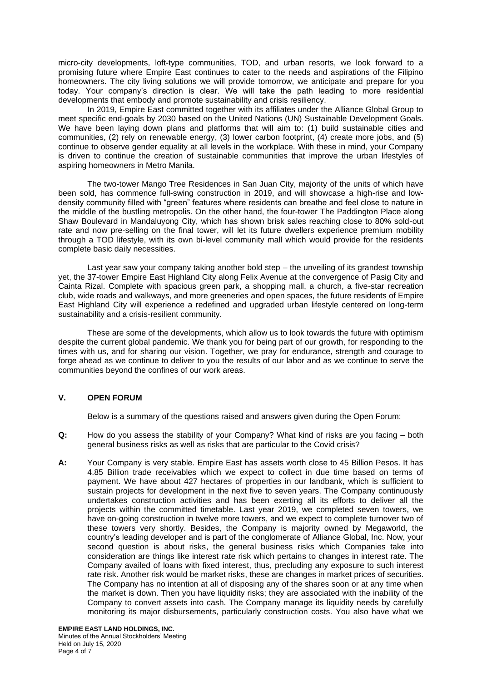micro-city developments, loft-type communities, TOD, and urban resorts, we look forward to a promising future where Empire East continues to cater to the needs and aspirations of the Filipino homeowners. The city living solutions we will provide tomorrow, we anticipate and prepare for you today. Your company's direction is clear. We will take the path leading to more residential developments that embody and promote sustainability and crisis resiliency.

In 2019, Empire East committed together with its affiliates under the Alliance Global Group to meet specific end-goals by 2030 based on the United Nations (UN) Sustainable Development Goals. We have been laying down plans and platforms that will aim to: (1) build sustainable cities and communities, (2) rely on renewable energy, (3) lower carbon footprint, (4) create more jobs, and (5) continue to observe gender equality at all levels in the workplace. With these in mind, your Company is driven to continue the creation of sustainable communities that improve the urban lifestyles of aspiring homeowners in Metro Manila.

The two-tower Mango Tree Residences in San Juan City, majority of the units of which have been sold, has commence full-swing construction in 2019, and will showcase a high-rise and lowdensity community filled with "green" features where residents can breathe and feel close to nature in the middle of the bustling metropolis. On the other hand, the four-tower The Paddington Place along Shaw Boulevard in Mandaluyong City, which has shown brisk sales reaching close to 80% sold-out rate and now pre-selling on the final tower, will let its future dwellers experience premium mobility through a TOD lifestyle, with its own bi-level community mall which would provide for the residents complete basic daily necessities.

Last year saw your company taking another bold step – the unveiling of its grandest township yet, the 37-tower Empire East Highland City along Felix Avenue at the convergence of Pasig City and Cainta Rizal. Complete with spacious green park, a shopping mall, a church, a five-star recreation club, wide roads and walkways, and more greeneries and open spaces, the future residents of Empire East Highland City will experience a redefined and upgraded urban lifestyle centered on long-term sustainability and a crisis-resilient community.

These are some of the developments, which allow us to look towards the future with optimism despite the current global pandemic. We thank you for being part of our growth, for responding to the times with us, and for sharing our vision. Together, we pray for endurance, strength and courage to forge ahead as we continue to deliver to you the results of our labor and as we continue to serve the communities beyond the confines of our work areas.

## **V. OPEN FORUM**

Below is a summary of the questions raised and answers given during the Open Forum:

- **Q:** How do you assess the stability of your Company? What kind of risks are you facing both general business risks as well as risks that are particular to the Covid crisis?
- **A:** Your Company is very stable. Empire East has assets worth close to 45 Billion Pesos. It has 4.85 Billion trade receivables which we expect to collect in due time based on terms of payment. We have about 427 hectares of properties in our landbank, which is sufficient to sustain projects for development in the next five to seven years. The Company continuously undertakes construction activities and has been exerting all its efforts to deliver all the projects within the committed timetable. Last year 2019, we completed seven towers, we have on-going construction in twelve more towers, and we expect to complete turnover two of these towers very shortly. Besides, the Company is majority owned by Megaworld, the country's leading developer and is part of the conglomerate of Alliance Global, Inc. Now, your second question is about risks, the general business risks which Companies take into consideration are things like interest rate risk which pertains to changes in interest rate. The Company availed of loans with fixed interest, thus, precluding any exposure to such interest rate risk. Another risk would be market risks, these are changes in market prices of securities. The Company has no intention at all of disposing any of the shares soon or at any time when the market is down. Then you have liquidity risks; they are associated with the inability of the Company to convert assets into cash. The Company manage its liquidity needs by carefully monitoring its major disbursements, particularly construction costs. You also have what we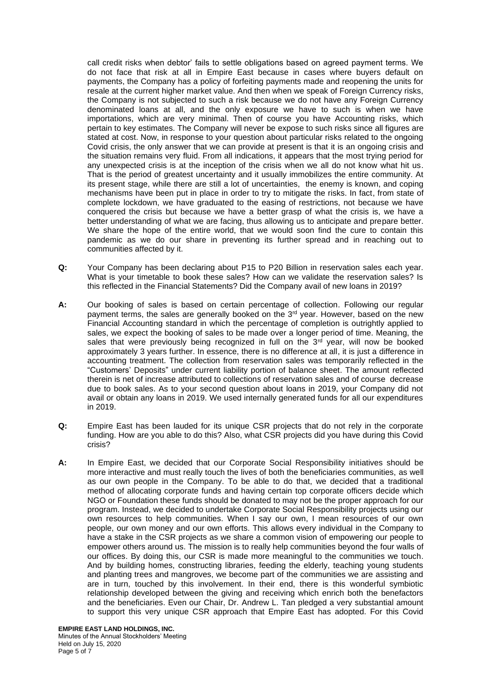call credit risks when debtor' fails to settle obligations based on agreed payment terms. We do not face that risk at all in Empire East because in cases where buyers default on payments, the Company has a policy of forfeiting payments made and reopening the units for resale at the current higher market value. And then when we speak of Foreign Currency risks, the Company is not subjected to such a risk because we do not have any Foreign Currency denominated loans at all, and the only exposure we have to such is when we have importations, which are very minimal. Then of course you have Accounting risks, which pertain to key estimates. The Company will never be expose to such risks since all figures are stated at cost. Now, in response to your question about particular risks related to the ongoing Covid crisis, the only answer that we can provide at present is that it is an ongoing crisis and the situation remains very fluid. From all indications, it appears that the most trying period for any unexpected crisis is at the inception of the crisis when we all do not know what hit us. That is the period of greatest uncertainty and it usually immobilizes the entire community. At its present stage, while there are still a lot of uncertainties, the enemy is known, and coping mechanisms have been put in place in order to try to mitigate the risks. In fact, from state of complete lockdown, we have graduated to the easing of restrictions, not because we have conquered the crisis but because we have a better grasp of what the crisis is, we have a better understanding of what we are facing, thus allowing us to anticipate and prepare better. We share the hope of the entire world, that we would soon find the cure to contain this pandemic as we do our share in preventing its further spread and in reaching out to communities affected by it.

- **Q:** Your Company has been declaring about P15 to P20 Billion in reservation sales each year. What is your timetable to book these sales? How can we validate the reservation sales? Is this reflected in the Financial Statements? Did the Company avail of new loans in 2019?
- **A:** Our booking of sales is based on certain percentage of collection. Following our regular payment terms, the sales are generally booked on the 3<sup>rd</sup> year. However, based on the new Financial Accounting standard in which the percentage of completion is outrightly applied to sales, we expect the booking of sales to be made over a longer period of time. Meaning, the sales that were previously being recognized in full on the  $3<sup>rd</sup>$  year, will now be booked approximately 3 years further. In essence, there is no difference at all, it is just a difference in accounting treatment. The collection from reservation sales was temporarily reflected in the "Customers' Deposits" under current liability portion of balance sheet. The amount reflected therein is net of increase attributed to collections of reservation sales and of course decrease due to book sales. As to your second question about loans in 2019, your Company did not avail or obtain any loans in 2019. We used internally generated funds for all our expenditures in 2019.
- **Q:** Empire East has been lauded for its unique CSR projects that do not rely in the corporate funding. How are you able to do this? Also, what CSR projects did you have during this Covid crisis?
- **A:** In Empire East, we decided that our Corporate Social Responsibility initiatives should be more interactive and must really touch the lives of both the beneficiaries communities, as well as our own people in the Company. To be able to do that, we decided that a traditional method of allocating corporate funds and having certain top corporate officers decide which NGO or Foundation these funds should be donated to may not be the proper approach for our program. Instead, we decided to undertake Corporate Social Responsibility projects using our own resources to help communities. When I say our own, I mean resources of our own people, our own money and our own efforts. This allows every individual in the Company to have a stake in the CSR projects as we share a common vision of empowering our people to empower others around us. The mission is to really help communities beyond the four walls of our offices. By doing this, our CSR is made more meaningful to the communities we touch. And by building homes, constructing libraries, feeding the elderly, teaching young students and planting trees and mangroves, we become part of the communities we are assisting and are in turn, touched by this involvement. In their end, there is this wonderful symbiotic relationship developed between the giving and receiving which enrich both the benefactors and the beneficiaries. Even our Chair, Dr. Andrew L. Tan pledged a very substantial amount to support this very unique CSR approach that Empire East has adopted. For this Covid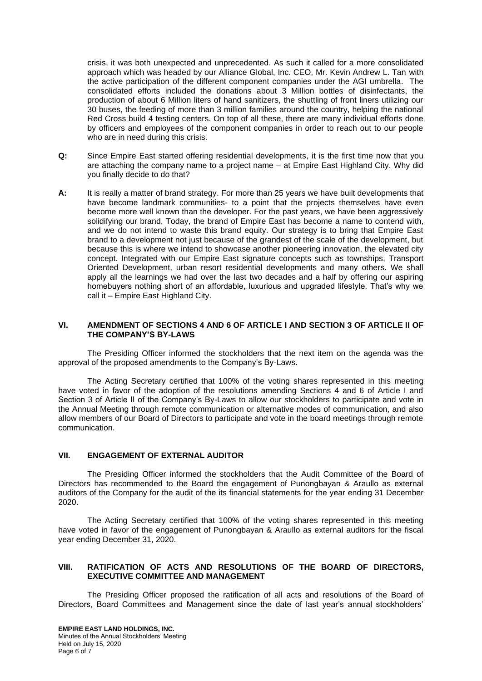crisis, it was both unexpected and unprecedented. As such it called for a more consolidated approach which was headed by our Alliance Global, Inc. CEO, Mr. Kevin Andrew L. Tan with the active participation of the different component companies under the AGI umbrella. The consolidated efforts included the donations about 3 Million bottles of disinfectants, the production of about 6 Million liters of hand sanitizers, the shuttling of front liners utilizing our 30 buses, the feeding of more than 3 million families around the country, helping the national Red Cross build 4 testing centers. On top of all these, there are many individual efforts done by officers and employees of the component companies in order to reach out to our people who are in need during this crisis.

- **Q:** Since Empire East started offering residential developments, it is the first time now that you are attaching the company name to a project name – at Empire East Highland City. Why did you finally decide to do that?
- **A:** It is really a matter of brand strategy. For more than 25 years we have built developments that have become landmark communities- to a point that the projects themselves have even become more well known than the developer. For the past years, we have been aggressively solidifying our brand. Today, the brand of Empire East has become a name to contend with, and we do not intend to waste this brand equity. Our strategy is to bring that Empire East brand to a development not just because of the grandest of the scale of the development, but because this is where we intend to showcase another pioneering innovation, the elevated city concept. Integrated with our Empire East signature concepts such as townships, Transport Oriented Development, urban resort residential developments and many others. We shall apply all the learnings we had over the last two decades and a half by offering our aspiring homebuyers nothing short of an affordable, luxurious and upgraded lifestyle. That's why we call it – Empire East Highland City.

### **VI. AMENDMENT OF SECTIONS 4 AND 6 OF ARTICLE I AND SECTION 3 OF ARTICLE II OF THE COMPANY'S BY-LAWS**

The Presiding Officer informed the stockholders that the next item on the agenda was the approval of the proposed amendments to the Company's By-Laws.

The Acting Secretary certified that 100% of the voting shares represented in this meeting have voted in favor of the adoption of the resolutions amending Sections 4 and 6 of Article I and Section 3 of Article II of the Company's By-Laws to allow our stockholders to participate and vote in the Annual Meeting through remote communication or alternative modes of communication, and also allow members of our Board of Directors to participate and vote in the board meetings through remote communication.

#### **VII. ENGAGEMENT OF EXTERNAL AUDITOR**

The Presiding Officer informed the stockholders that the Audit Committee of the Board of Directors has recommended to the Board the engagement of Punongbayan & Araullo as external auditors of the Company for the audit of the its financial statements for the year ending 31 December 2020.

The Acting Secretary certified that 100% of the voting shares represented in this meeting have voted in favor of the engagement of Punongbayan & Araullo as external auditors for the fiscal year ending December 31, 2020.

#### **VIII. RATIFICATION OF ACTS AND RESOLUTIONS OF THE BOARD OF DIRECTORS, EXECUTIVE COMMITTEE AND MANAGEMENT**

The Presiding Officer proposed the ratification of all acts and resolutions of the Board of Directors, Board Committees and Management since the date of last year's annual stockholders'